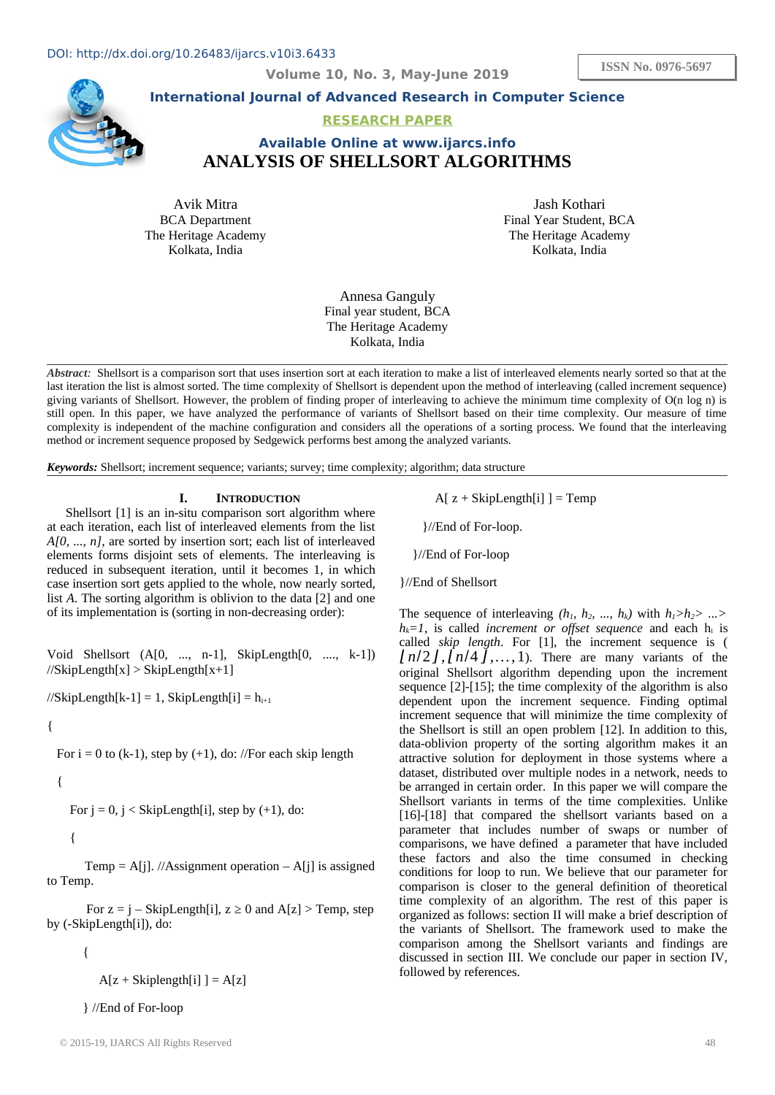**ISSN No. 0976-5697**

**Volume 10, No. 3, May-June 2019**



**International Journal of Advanced Research in Computer Science**

### **RESEARCH PAPER**

# **Available Online at www.ijarcs.info ANALYSIS OF SHELLSORT ALGORITHMS**

Avik Mitra BCA Department The Heritage Academy Kolkata, India

Jash Kothari Final Year Student, BCA The Heritage Academy Kolkata, India

Annesa Ganguly Final year student, BCA The Heritage Academy Kolkata, India

*Abstract:* Shellsort is a comparison sort that uses insertion sort at each iteration to make a list of interleaved elements nearly sorted so that at the last iteration the list is almost sorted. The time complexity of Shellsort is dependent upon the method of interleaving (called increment sequence) giving variants of Shellsort. However, the problem of finding proper of interleaving to achieve the minimum time complexity of O(n log n) is still open. In this paper, we have analyzed the performance of variants of Shellsort based on their time complexity. Our measure of time complexity is independent of the machine configuration and considers all the operations of a sorting process. We found that the interleaving method or increment sequence proposed by Sedgewick performs best among the analyzed variants.

*Keywords:* Shellsort; increment sequence; variants; survey; time complexity; algorithm; data structure

#### **I. INTRODUCTION**

Shellsort [1] is an in-situ comparison sort algorithm where at each iteration, each list of interleaved elements from the list *A[0, ..., n]*, are sorted by insertion sort; each list of interleaved elements forms disjoint sets of elements. The interleaving is reduced in subsequent iteration, until it becomes 1, in which case insertion sort gets applied to the whole, now nearly sorted, list *A*. The sorting algorithm is oblivion to the data [2] and one of its implementation is (sorting in non-decreasing order):

Void Shellsort (A[0, ..., n-1], SkipLength[0, ...., k-1])  $//$ SkipLength[x] > SkipLength[x+1]

//SkipLength[k-1] = 1, SkipLength[i] =  $h_{i+1}$ 

{

For  $i = 0$  to (k-1), step by (+1), do: //For each skip length

$$
-\{
$$

For  $j = 0$ ,  $j <$  SkipLength[i], step by  $(+1)$ , do:

 $\{$  \cdot \cdot \cdot \cdot \cdot \cdot \cdot \cdot \cdot \cdot \cdot \cdot \cdot \cdot \cdot \cdot \cdot \cdot \cdot \cdot \cdot \cdot \cdot \cdot \cdot \cdot \cdot \cdot \cdot \cdot \cdot \cdot \cdot \cdot \cdot \cdot

Temp =  $A[i]$ . //Assignment operation  $- A[i]$  is assigned to Temp.

For  $z = j - SkipLength[i], z \ge 0$  and  $A[z] > Temp$ , step by (-SkipLength[i]), do:

{

 $A[z + Skiplength[i]] = A[z]$ 

} //End of For-loop

 $A[z + SkipLength[i]] = Temp$ 

}//End of For-loop.

}//End of For-loop

}//End of Shellsort

The sequence of interleaving  $(h_1, h_2, ..., h_k)$  with  $h_1 > h_2 > ... > h_k$  $h_k = 1$ , is called *increment or offset sequence* and each  $h_i$  is called *skip length*. For [1], the increment sequence is ( *⌊n*/2*⌋,⌊n*/4 *⌋,…,*1). There are many variants of the original Shellsort algorithm depending upon the increment sequence [2]-[15]; the time complexity of the algorithm is also dependent upon the increment sequence. Finding optimal increment sequence that will minimize the time complexity of the Shellsort is still an open problem [12]. In addition to this, data-oblivion property of the sorting algorithm makes it an attractive solution for deployment in those systems where a dataset, distributed over multiple nodes in a network, needs to be arranged in certain order. In this paper we will compare the Shellsort variants in terms of the time complexities. Unlike [16]-[18] that compared the shellsort variants based on a parameter that includes number of swaps or number of comparisons, we have defined a parameter that have included these factors and also the time consumed in checking conditions for loop to run. We believe that our parameter for comparison is closer to the general definition of theoretical time complexity of an algorithm. The rest of this paper is organized as follows: section II will make a brief description of the variants of Shellsort. The framework used to make the comparison among the Shellsort variants and findings are discussed in section III. We conclude our paper in section IV, followed by references.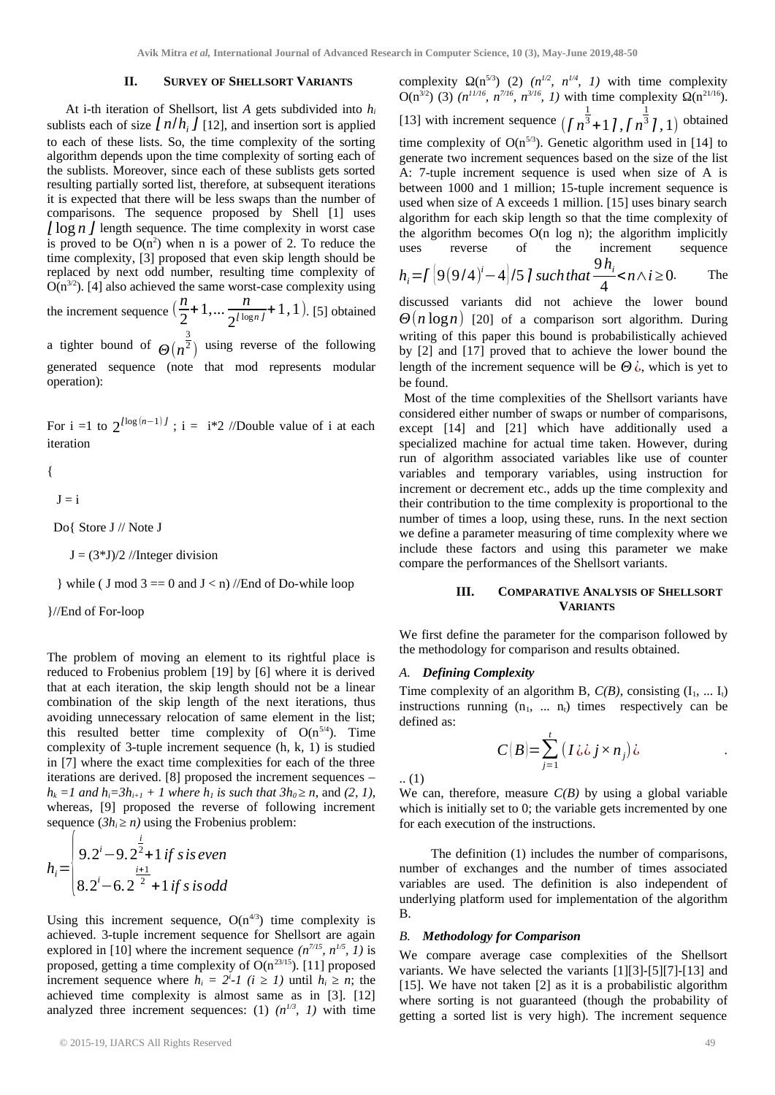#### **II. SURVEY OF SHELLSORT VARIANTS**

At i-th iteration of Shellsort, list *A* gets subdivided into *h<sup>i</sup>* sublists each of size  $\int n/h$   $\int$  [12], and insertion sort is applied to each of these lists. So, the time complexity of the sorting algorithm depends upon the time complexity of sorting each of the sublists. Moreover, since each of these sublists gets sorted resulting partially sorted list, therefore, at subsequent iterations it is expected that there will be less swaps than the number of comparisons. The sequence proposed by Shell [1] uses *⌊*log *n ⌋* length sequence. The time complexity in worst case is proved to be  $O(n^2)$  when n is a power of 2. To reduce the time complexity, [3] proposed that even skip length should be replaced by next odd number, resulting time complexity of  $O(n^{3/2})$ . [4] also achieved the same worst-case complexity using

the increment sequence  $\left(\frac{n}{2}\right)$  $\frac{n}{2}$ +1,...  $\frac{n}{2^{l \log n}}$  $\frac{n}{2^{\lceil \log n \rceil}} + 1, 1$ . [5] obtained

a tighter bound of  $\Theta(n^{\frac{3}{2}})$  $\sqrt{2}$ ) using reverse of the following generated sequence (note that mod represents modular operation):

For i =1 to  $2^{\log(n-1)l}$ ; i = i\*2 //Double value of i at each iteration

{

$$
\mathbf{J} =
$$

 $\mathbf{i}$ 

Do{ Store J // Note J

 $J = (3 * J)/2$  //Integer division

} while ( J mod 3 =  $=$  0 and  $J \le n$ ) //End of Do-while loop

}//End of For-loop

The problem of moving an element to its rightful place is reduced to Frobenius problem [19] by [6] where it is derived that at each iteration, the skip length should not be a linear combination of the skip length of the next iterations, thus avoiding unnecessary relocation of same element in the list; this resulted better time complexity of  $O(n^{5/4})$ . Time complexity of 3-tuple increment sequence (h, k, 1) is studied in [7] where the exact time complexities for each of the three iterations are derived. [8] proposed the increment sequences – *h*<sub>*k*</sub> = 1 and *h*<sub>*i*</sub>=3*h*<sub>*i*+*1*</sub> + 1 where *h*<sub>1</sub> is such that 3*h*<sub>0</sub>  $\geq$  *n*, and (2, 1), whereas, [9] proposed the reverse of following increment sequence  $(3h<sub>i</sub> ≥ n)$  using the Frobenius problem: *i*

$$
h_i = \begin{cases} 9.2^{i} - 9.2^{\frac{1}{2}} + 1 \text{ if } s \text{ is even} \\ 8.2^{i} - 6.2^{\frac{i+1}{2}} + 1 \text{ if } s \text{ is odd} \end{cases}
$$

Using this increment sequence,  $O(n^{4/3})$  time complexity is achieved. 3-tuple increment sequence for Shellsort are again explored in [10] where the increment sequence  $(n^{7/15}, n^{1/5}, 1)$  is proposed, getting a time complexity of  $O(n^{23/15})$ . [11] proposed increment sequence where  $h_i = 2^i-1$  ( $i \ge 1$ ) until  $h_i \ge n$ ; the achieved time complexity is almost same as in [3]. [12] analyzed three increment sequences: (1)  $(n^{1/3}, 1)$  with time

complexity  $\Omega(n^{5/3})$  (2)  $(n^{1/2}, n^{1/4}, 1)$  with time complexity  $O(n^{3/2})$  (3)  $(n^{11/16}, n^{7/16}, n^{3/16}, 1)$  with time complexity  $Ω(n^{21/16})$ . [13] with increment sequence  $(\int n^{\frac{1}{3}}$ <sup>3</sup>+1*⌉,⌈ n* 1  $\overline{^3}$  *l* , 1) obtained time complexity of  $O(n^{5/3})$ . Genetic algorithm used in [14] to generate two increment sequences based on the size of the list A: 7-tuple increment sequence is used when size of A is between 1000 and 1 million; 15-tuple increment sequence is used when size of A exceeds 1 million. [15] uses binary search algorithm for each skip length so that the time complexity of the algorithm becomes O(n log n); the algorithm implicitly uses reverse of the increment sequence 9*h<sup>i</sup>*

$$
h_i = \int \left[9(9/4)^i - 4\right] / 5 \, \text{J} \, \text{such that} \, \frac{9 \, n_i}{4} < n \wedge i \geq 0. \qquad \text{The}
$$

discussed variants did not achieve the lower bound *Θ*(*n* log*n*) [20] of a comparison sort algorithm. During writing of this paper this bound is probabilistically achieved by [2] and [17] proved that to achieve the lower bound the length of the increment sequence will be *Θ* ¿, which is yet to be found.

 Most of the time complexities of the Shellsort variants have considered either number of swaps or number of comparisons, except [14] and [21] which have additionally used a specialized machine for actual time taken. However, during run of algorithm associated variables like use of counter variables and temporary variables, using instruction for increment or decrement etc., adds up the time complexity and their contribution to the time complexity is proportional to the number of times a loop, using these, runs. In the next section we define a parameter measuring of time complexity where we include these factors and using this parameter we make compare the performances of the Shellsort variants.

## **III. COMPARATIVE ANALYSIS OF SHELLSORT VARIANTS**

We first define the parameter for the comparison followed by the methodology for comparison and results obtained.

#### *A. Defining Complexity*

Time complexity of an algorithm B,  $C(B)$ , consisting  $(I_1, \ldots, I_t)$ instructions running  $(n_1, ... n_t)$  times respectively can be defined as:

$$
C(B) = \sum_{j=1}^{t} (I \ddot{\omega} \dot{\omega} \dot{\omega} \times n_j) \dot{\omega}
$$

.. (1)

We can, therefore, measure *C(B)* by using a global variable which is initially set to 0; the variable gets incremented by one for each execution of the instructions.

 The definition (1) includes the number of comparisons, number of exchanges and the number of times associated variables are used. The definition is also independent of underlying platform used for implementation of the algorithm B.

#### *B. Methodology for Comparison*

We compare average case complexities of the Shellsort variants. We have selected the variants [1][3]-[5][7]-[13] and [15]. We have not taken [2] as it is a probabilistic algorithm where sorting is not guaranteed (though the probability of getting a sorted list is very high). The increment sequence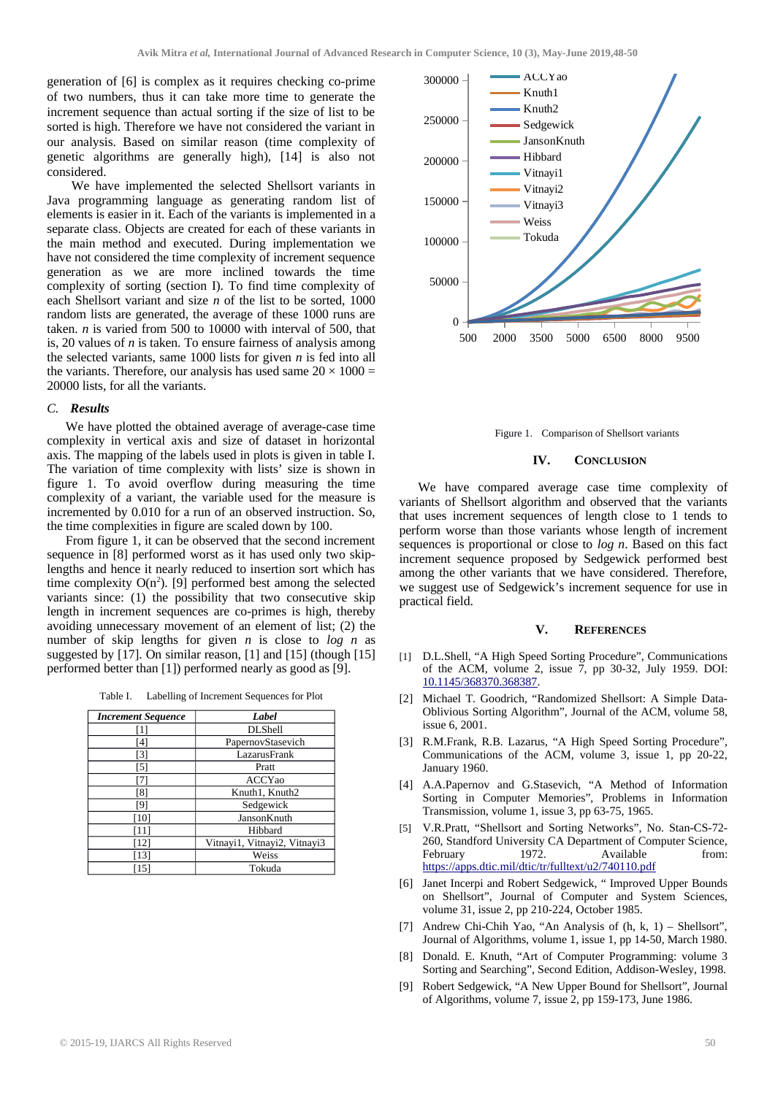generation of [6] is complex as it requires checking co-prime of two numbers, thus it can take more time to generate the increment sequence than actual sorting if the size of list to be sorted is high. Therefore we have not considered the variant in our analysis. Based on similar reason (time complexity of genetic algorithms are generally high), [14] is also not considered.

 We have implemented the selected Shellsort variants in Java programming language as generating random list of elements is easier in it. Each of the variants is implemented in a separate class. Objects are created for each of these variants in the main method and executed. During implementation we have not considered the time complexity of increment sequence generation as we are more inclined towards the time complexity of sorting (section I). To find time complexity of each Shellsort variant and size *n* of the list to be sorted, 1000 random lists are generated, the average of these 1000 runs are taken. *n* is varied from 500 to 10000 with interval of 500, that is, 20 values of *n* is taken. To ensure fairness of analysis among the selected variants, same 1000 lists for given *n* is fed into all the variants. Therefore, our analysis has used same  $20 \times 1000 =$ 20000 lists, for all the variants.

#### *C. Results*

We have plotted the obtained average of average-case time complexity in vertical axis and size of dataset in horizontal axis. The mapping of the labels used in plots is given in table I. The variation of time complexity with lists' size is shown in figure 1. To avoid overflow during measuring the time complexity of a variant, the variable used for the measure is incremented by 0.010 for a run of an observed instruction. So, the time complexities in figure are scaled down by 100.

From figure 1, it can be observed that the second increment sequence in [8] performed worst as it has used only two skiplengths and hence it nearly reduced to insertion sort which has time complexity  $O(n^2)$ . [9] performed best among the selected variants since: (1) the possibility that two consecutive skip length in increment sequences are co-primes is high, thereby avoiding unnecessary movement of an element of list; (2) the number of skip lengths for given *n* is close to *log n* as suggested by [17]. On similar reason, [1] and [15] (though [15] performed better than [1]) performed nearly as good as [9].

Table I. Labelling of Increment Sequences for Plot

| <b>Increment Sequence</b> | Label                        |
|---------------------------|------------------------------|
| $[1]$                     | <b>DLShell</b>               |
| [4]                       | PapernovStasevich            |
| [3]                       | LazarusFrank                 |
| [5]                       | Pratt                        |
| [7]                       | <b>ACCYao</b>                |
| [8]                       | Knuth1, Knuth2               |
| [9]                       | Sedgewick                    |
| [10]                      | JansonKnuth                  |
| $[11]$                    | Hibbard                      |
| $[12]$                    | Vitnayi1, Vitnayi2, Vitnayi3 |
| [13]                      | Weiss                        |
| [15]                      | Tokuda                       |



Figure 1. Comparison of Shellsort variants

#### **IV. CONCLUSION**

We have compared average case time complexity of variants of Shellsort algorithm and observed that the variants that uses increment sequences of length close to 1 tends to perform worse than those variants whose length of increment sequences is proportional or close to *log n*. Based on this fact increment sequence proposed by Sedgewick performed best among the other variants that we have considered. Therefore, we suggest use of Sedgewick's increment sequence for use in practical field.

#### **V. REFERENCES**

- [1] D.L.Shell, "A High Speed Sorting Procedure", Communications of the ACM, volume 2, issue 7, pp 30-32, July 1959. DOI: [10.1145/368370.368387.](http://doi.acm.org/10.1145/368370.368387)
- [2] Michael T. Goodrich, "Randomized Shellsort: A Simple Data-Oblivious Sorting Algorithm", Journal of the ACM, volume 58, issue 6, 2001.
- [3] R.M.Frank, R.B. Lazarus, "A High Speed Sorting Procedure", Communications of the ACM, volume 3, issue 1, pp 20-22, January 1960.
- [4] A.A.Papernov and G.Stasevich, "A Method of Information Sorting in Computer Memories", Problems in Information Transmission, volume 1, issue 3, pp 63-75, 1965.
- [5] V.R.Pratt, "Shellsort and Sorting Networks", No. Stan-CS-72- 260, Standford University CA Department of Computer Science, February 1972. Available from: <https://apps.dtic.mil/dtic/tr/fulltext/u2/740110.pdf>
- [6] Janet Incerpi and Robert Sedgewick, " Improved Upper Bounds on Shellsort", Journal of Computer and System Sciences, volume 31, issue 2, pp 210-224, October 1985.
- [7] Andrew Chi-Chih Yao, "An Analysis of (h, k, 1) Shellsort", Journal of Algorithms, volume 1, issue 1, pp 14-50, March 1980.
- [8] Donald. E. Knuth, "Art of Computer Programming: volume 3 Sorting and Searching", Second Edition, Addison-Wesley, 1998.
- [9] Robert Sedgewick, "A New Upper Bound for Shellsort", Journal of Algorithms, volume 7, issue 2, pp 159-173, June 1986.